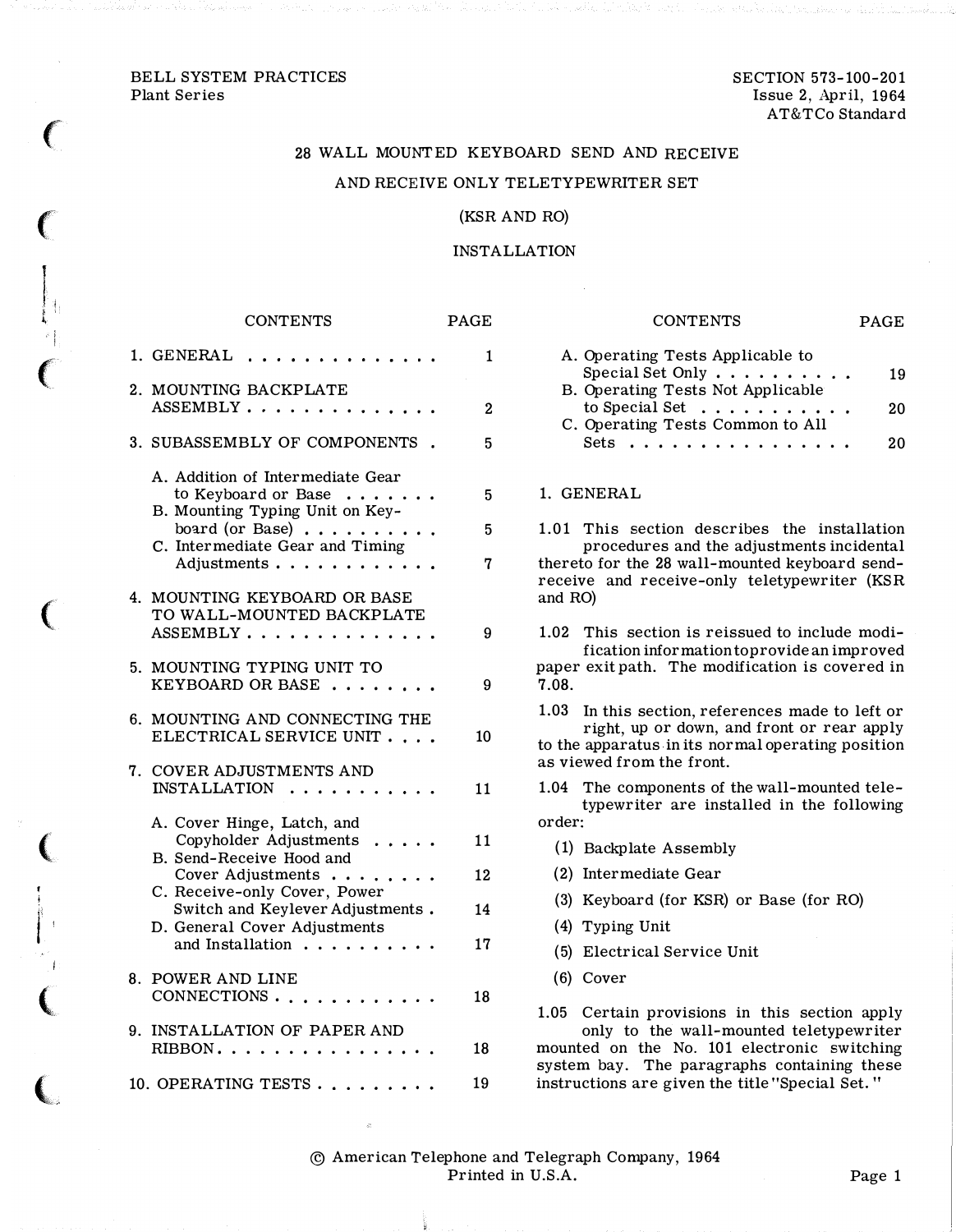# BELL SYSTEM PRACTICES Plant Series

 $\big($ 

 $\overline{(\ }$ 

 $\mathbf{L}_{\mathbf{L}}$ t '

 $\big($ 

 $\big($ 

 $\big($ 

j  $\mathbf{l}$   $\mathbf{l}$ 

 $\big($ 

 $\overline{\mathbf{C}}$ 

# 28 WALL MOUNTED KEYBOARD SEND AND RECEIVE AND RECEIVE ONLY TELETYPEWRITER SET

### (KSR AND RO)

INSTALLATION

# **CONTENTS**

|    | 1. GENERAL                                                                                                                                                               | 1            |
|----|--------------------------------------------------------------------------------------------------------------------------------------------------------------------------|--------------|
|    | 2. MOUNTING BACKPLATE<br>ASSEMBLY                                                                                                                                        | $\mathbf{2}$ |
|    | 3. SUBASSEMBLY OF COMPONENTS                                                                                                                                             | 5            |
|    | A. Addition of Intermediate Gear<br>to Keyboard or Base<br>B. Mounting Typing Unit on Key-<br>board (or Base) $\ldots$<br>C. Intermediate Gear and Timing<br>Adjustments | 5<br>5<br>7  |
| 4. | MOUNTING KEYBOARD OR BASE<br>TO WALL-MOUNTED BACKPLATE<br>ASSEMBLY<br>.                                                                                                  | 9            |
|    | 5. MOUNTING TYPING UNIT TO<br>KEYBOARD OR BASE                                                                                                                           | 9            |
| 6. | MOUNTING AND CONNECTING THE<br>ELECTRICAL SERVICE UNIT                                                                                                                   | 10           |
| 7. | COVER ADJUSTMENTS AND<br><b>INSTALLATION</b><br>$\ddot{\phantom{a}}$                                                                                                     | 11           |
|    | A. Cover Hinge, Latch, and<br>Copyholder Adjustments<br>.<br>B. Send-Receive Hood and<br>Cover Adjustments                                                               | 11<br>12     |
|    | C. Receive-only Cover, Power<br>Switch and Keylever Adjustments.<br>D. General Cover Adjustments                                                                         | 14           |
|    | and Installation                                                                                                                                                         | 17           |
| 8. | POWER AND LINE<br>CONNECTIONS                                                                                                                                            | 18           |
| 9. | <b>INSTALLATION OF PAPER AND</b><br>$RIBBON$<br>$\ddot{\phantom{a}}$                                                                                                     | 18           |
|    | 10. OPERATING TESTS.<br>$\mathbf{a}$ , and $\mathbf{a}$ , and $\mathbf{a}$ , and                                                                                         | 19           |

| <b>PAGE</b>  | CONTENTS<br>PAGE                                                                                                                                                                        |  |  |  |
|--------------|-----------------------------------------------------------------------------------------------------------------------------------------------------------------------------------------|--|--|--|
| 1            | A. Operating Tests Applicable to<br>Special Set Only $\dots \dots$<br>19<br>B. Operating Tests Not Applicable                                                                           |  |  |  |
| $\mathbf{2}$ | to Special Set<br>20<br>$\sim$ $\sim$ $\sim$ $\sim$ $\sim$                                                                                                                              |  |  |  |
| 5            | C. Operating Tests Common to All<br>Sets<br>20                                                                                                                                          |  |  |  |
| 5            | 1. GENERAL                                                                                                                                                                              |  |  |  |
| 5            | 1.01 This section describes the installation<br>procedures and the adjustments incidental                                                                                               |  |  |  |
| 7            | thereto for the 28 wall-mounted keyboard send-<br>receive and receive-only teletypewriter (KSR<br>and RO)                                                                               |  |  |  |
| 9            | 1.02<br>This section is reissued to include modi-<br>fication information to provide an improved<br>paper exit path. The modification is covered in<br>7.08.<br>9                       |  |  |  |
|              |                                                                                                                                                                                         |  |  |  |
| 10           | In this section, references made to left or<br>$1.03\,$<br>right, up or down, and front or rear apply<br>to the apparatus in its normal operating position<br>as viewed from the front. |  |  |  |
| 11           | The components of the wall-mounted tele-<br>$1.04\,$<br>typewriter are installed in the following                                                                                       |  |  |  |
|              | order:                                                                                                                                                                                  |  |  |  |
| 11           | (1) Backplate Assembly                                                                                                                                                                  |  |  |  |
| 12           | (2) Intermediate Gear                                                                                                                                                                   |  |  |  |
| 14           | (3) Keyboard (for KSR) or Base (for RO)                                                                                                                                                 |  |  |  |
| 17           | $(4)$ Typing Unit                                                                                                                                                                       |  |  |  |
|              | (5) Electrical Service Unit                                                                                                                                                             |  |  |  |
|              | $(6)$ Cover                                                                                                                                                                             |  |  |  |
| 18           | Certain provisions in this section apply<br>1.05<br>only to the wall-mounted teletypewriter                                                                                             |  |  |  |
| 18           | mounted on the No. 101 electronic switching                                                                                                                                             |  |  |  |

mounted on the No. 101 electronic switching system bay. The paragraphs containing these instructions are given the title "Special Set. "

© American Telephone and Telegraph Company, 1964 Printed in U.S.A. Page 1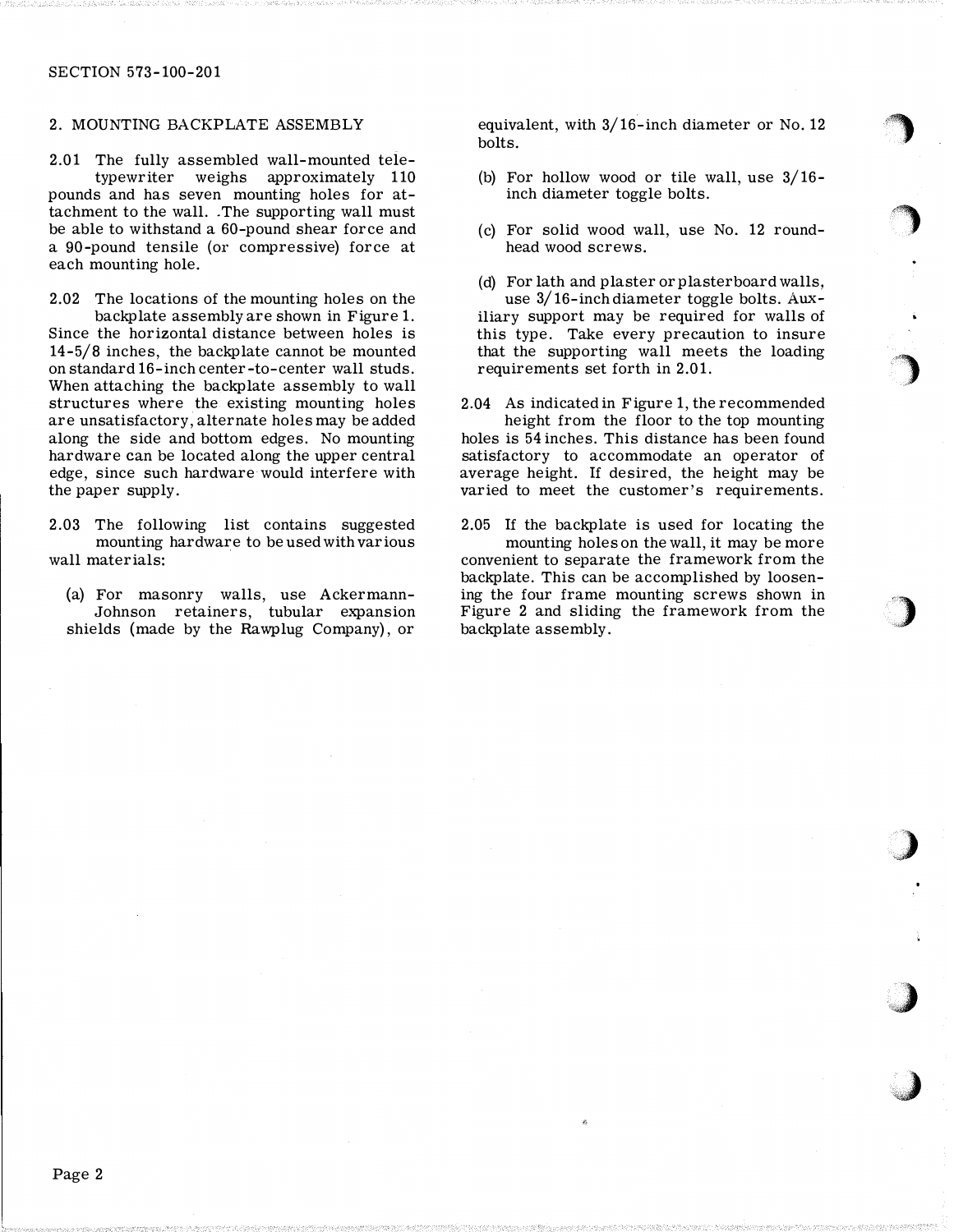### 2. MOUNTING BACKPLATE ASSEMBLY

2.01 The fully assembled wall-mounted teletypewriter weighs approximately 110 pounds and has seven mounting holes for attachment to the wall. . The supporting wall must be able to withstand a 60-pound shear force and a 90-pound tensile (or compressive) force at each mounting hole.

2.02 The locations of the mounting holes on the backplate assembly are shown in Figure 1. Since the horizontal distance between holes is 14-5/8 inches, the backplate cannot be mounted on standard 16-inch center-to-center wall studs. When attaching the backplate assembly to wall structures where the existing mounting holes are unsatisfactory, alternate holes may be added along the side and bottom edges. No mounting hardware can be located along the upper central edge, since such hardware would interfere with the paper supply.

2.03 The following list contains suggested mounting hardware to be used with various wall materials:

(a) For masonry walls, use Ackermann-Johnson retainers, tubular expansion shields (made by the Rawplug Company), or

equivalent, with 3/16-inch diameter or No. 12 bolts.

- (b) For hollow wood or tile wall, use 3/16 inch diameter toggle bolts.
- (c) For solid wood wall, use No. 12 roundhead wood screws.
- (d) For lath and plaster or plasterboard walls, use 3/ 16-inch diameter toggle bolts. Auxiliary support may be required for walls of this type. Take every precaution to insure that the supporting wall meets the loading requirements set forth in 2.01.

2.04 As indicated in Figure 1, the recommended height from the floor to the top mounting holes is 54 inches. This distance has been found satisfactory to accommodate an operator of

average height. If desired, the height may be varied to meet the customer's requirements.

2.05 If the backplate is used for locating the mounting holes on the wall, it may be more convenient to separate the framework from the backplate. This can be accomplished by loosening the four frame mounting screws shown in Figure 2 and sliding the framework from the backplate assembly.

 $\int$ 

the contract of the contract of the contract of the contract of the contract of the contract of the contract of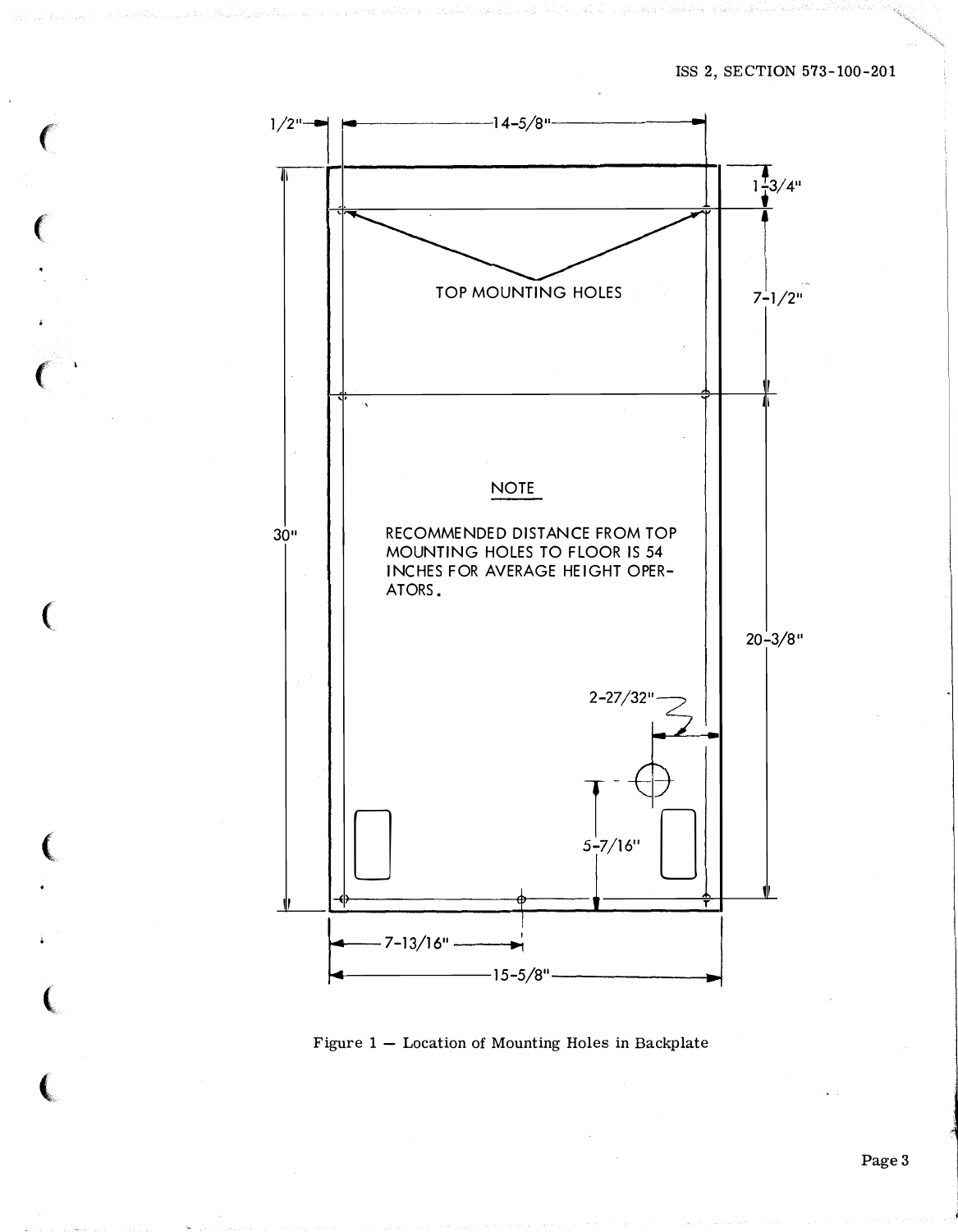

Figure  $1 -$  Location of Mounting Holes in Backplate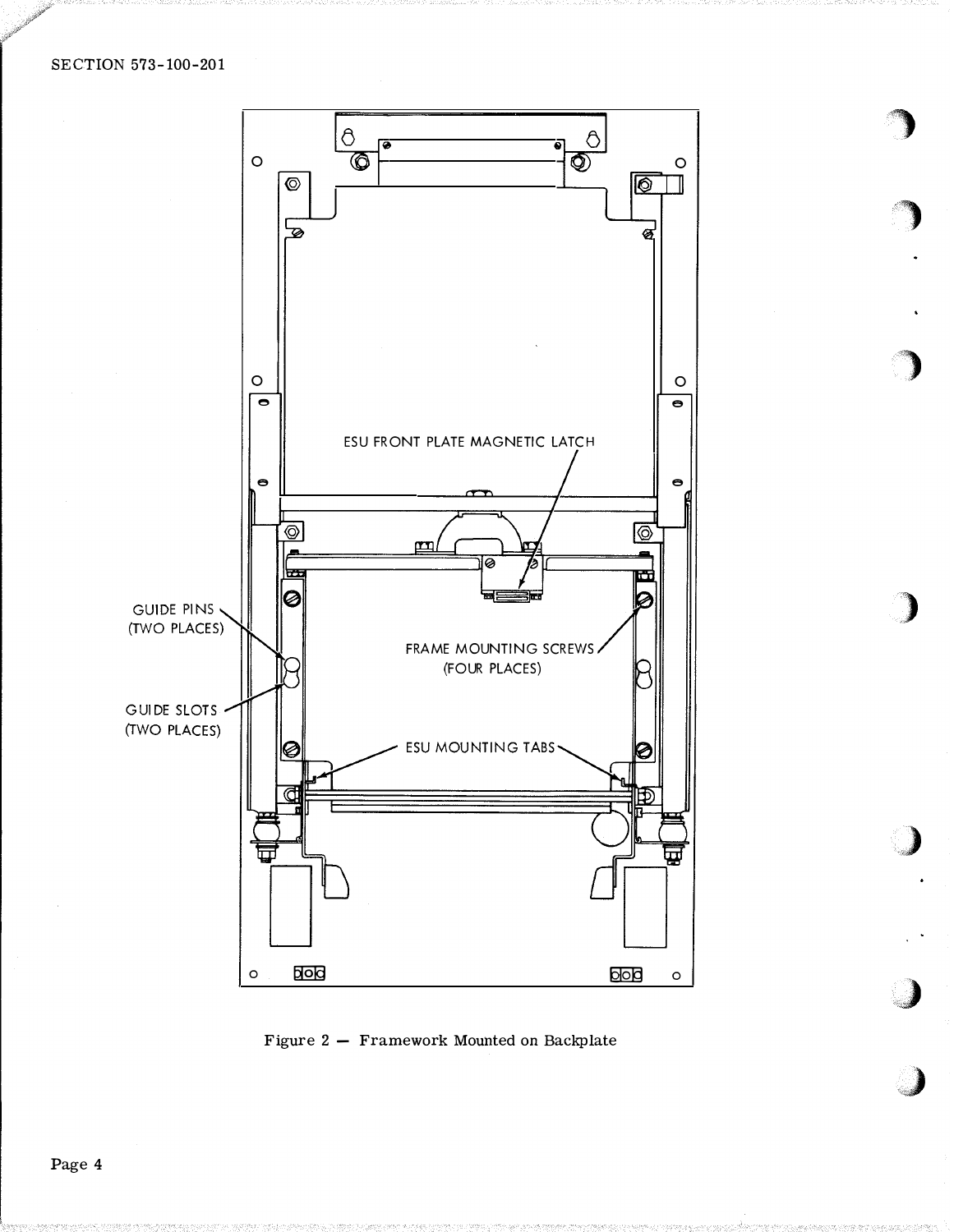

 $\bigcirc$ 

)

)

')

,}

**J** 

,)

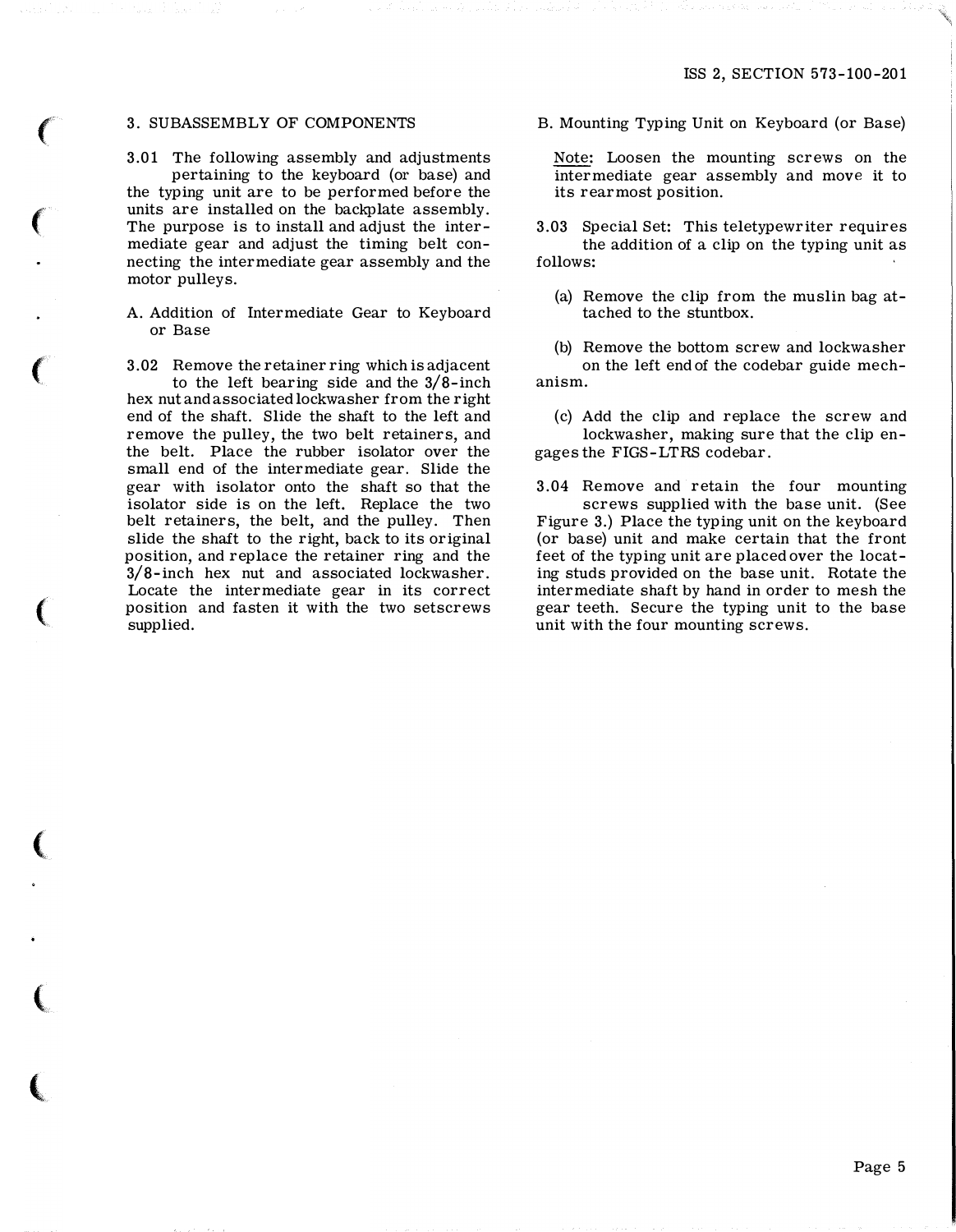## 3. SUBASSEMBLY OF COMPONENTS

 $\big($ 

 $\left($ 

 $\big($ 

(

 $\big($ 

 $\big($ 

 $\big($ 

3.01 The following assembly and adjustments pertaining to the keyboard (or base) and the typing unit are to be performed before the units are installed on the backplate assembly. The purpose is to install and adjust the intermediate gear and adjust the timing belt connecting the intermediate gear assembly and the motor pulleys.

A. Addition of Intermediate Gear to Keyboard or Base

3.02 Remove the retainer ring which is adjacent to the left bearing side and the 3/8-inch hex nut and associated lockwasher from the right end of the shaft. Slide the shaft to the left and remove the pulley, the two belt retainers, and the belt. Place the rubber isolator over the small end of the intermediate gear. Slide the gear with isolator onto the shaft so that the isolator side is on the left. Replace the two belt retainers, the belt, and the pulley. Then slide the shaft to the right, back to its original position, and replace the retainer ring and the 3/8-inch hex nut and associated lockwasher. Locate the intermediate gear in its correct position and fasten it with the two setscrews supplied.

B. Mounting Typing Unit on Keyboard (or Base)

Note: Loosen the mounting screws on the intermediate gear assembly and move it to its rearmost position.

3.03 Special Set: This teletypewriter requires the addition of a clip on the typing unit as follows:

(a) Remove the clip from the muslin bag attached to the stuntbox.

(b) Remove the bottom screw and lockwasher on the left end of the codebar guide mechanism.

(c) Add the clip and replace the screw and lockwasher, making sure that the clip engages the FIGS-LTRS codebar.

3.04 Remove and retain the four mounting screws supplied with the base unit. (See Figure 3.) Place the typing unit on the keyboard (or base) unit and make certain that the front feet of the typing unit are placed over the locating studs provided on the base unit. Rotate the intermediate shaft by hand in order to mesh the gear teeth. Secure the typing unit to the base unit with the four mounting screws.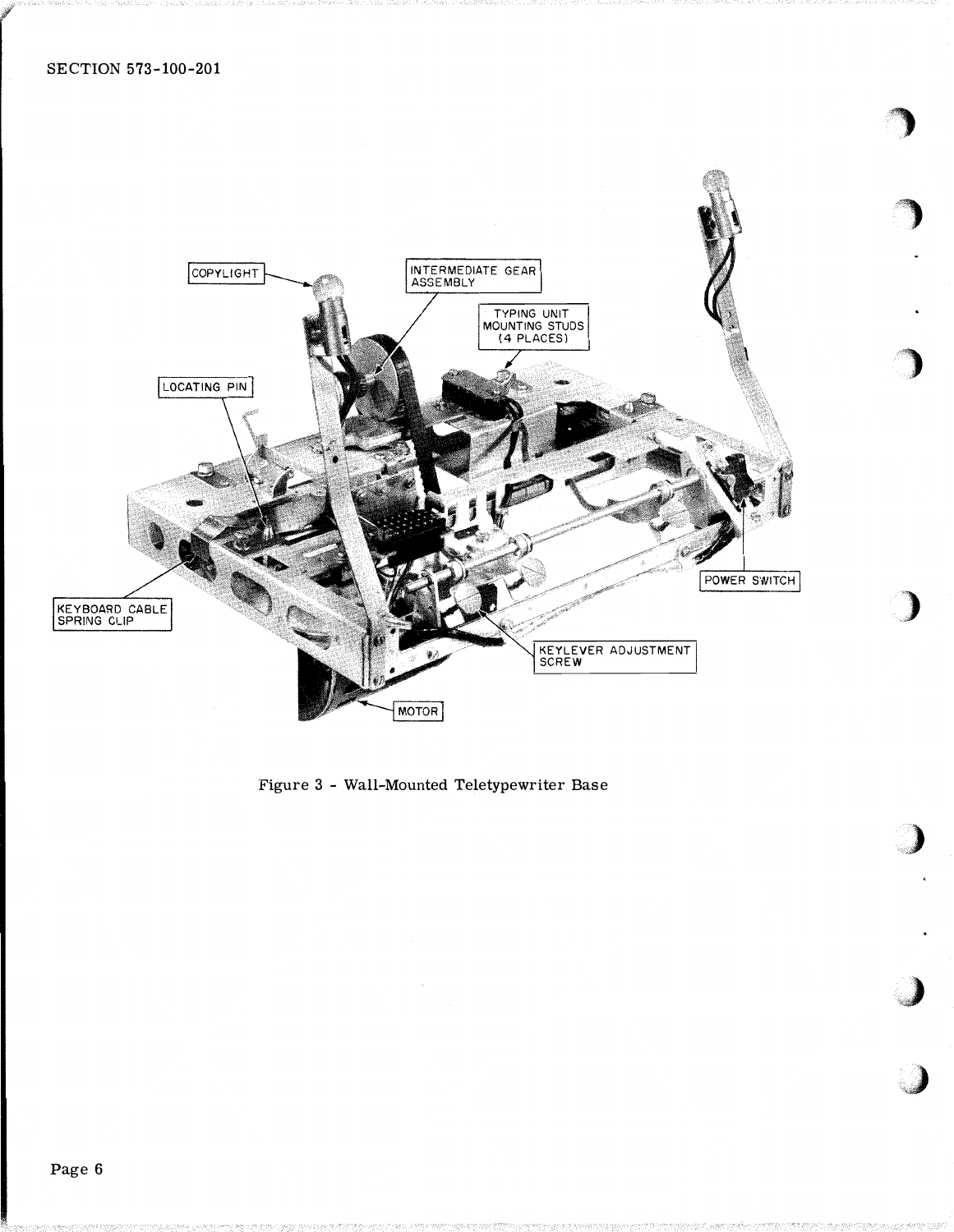

,

Figure 3 - Wall-Mounted Teletypewriter Base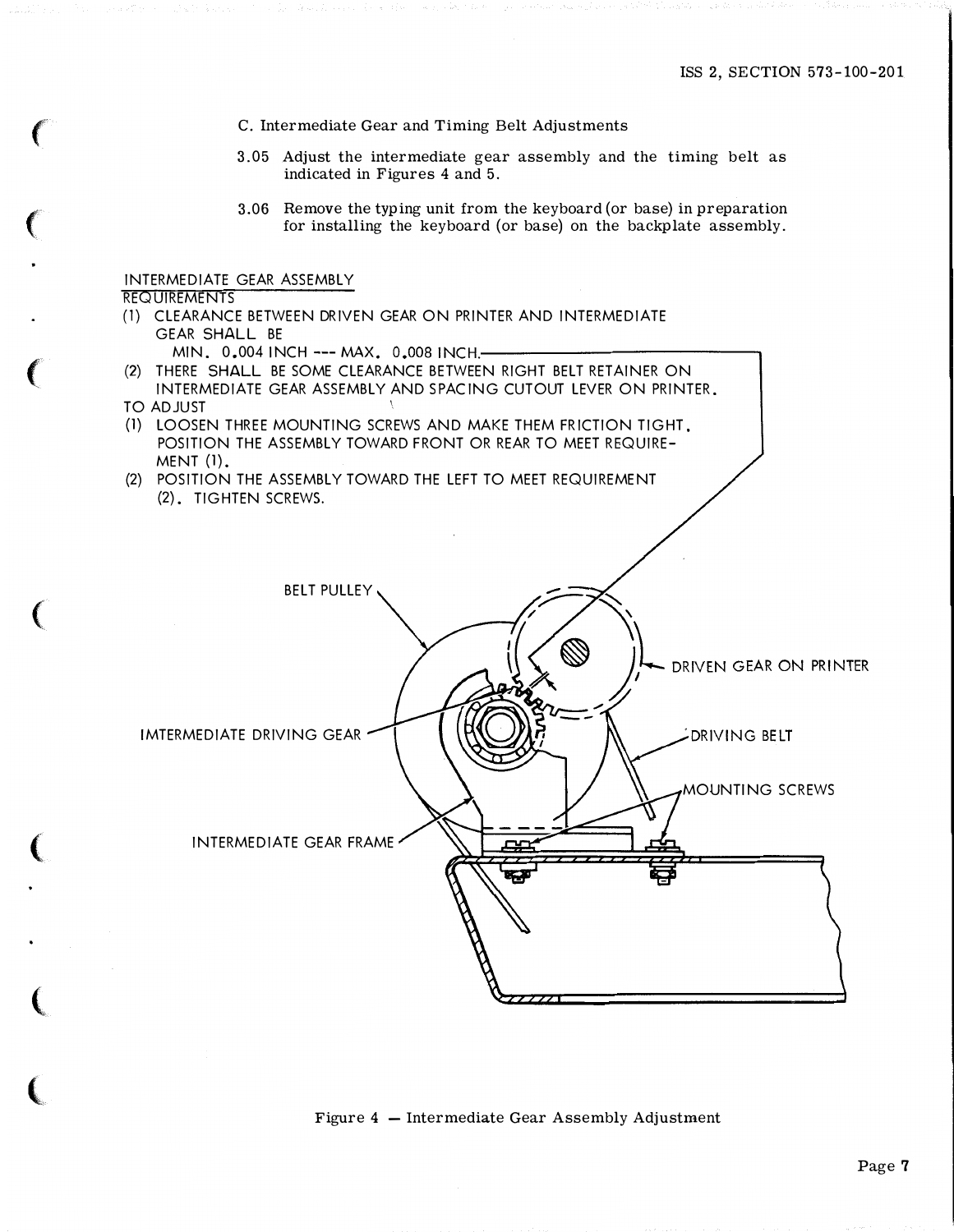MOUNTING SCREWS

DRIVING BELT

DRIVEN GEAR ON PRINTER

C. Intermediate Gear and Timing Belt Adjustments

- 3.05 Adjust the intermediate gear assembly and the timing belt as indicated in Figures 4 and 5.
- 3.06 Remove the typing unit from the keyboard (or base) in preparation for installing the keyboard (or base) on the backplate assembly.

## INTERMEDIATE GEAR ASSEMBLY

### **REQUIREMENTS**

(1) CLEARANCE BETWEEN DRIVEN GEAR ON PRINTER AND INTERMEDIATE GEAR SHALL BE

MIN. 0.004 INCH --- MAX. 0.008 INCH.-

BELT PULLEY

- (2) THERE SHALL BE SOME CLEARANCE BETWEEN RIGHT BELT RETAINER ON INTERMEDIATE GEAR ASSEMBLY AND SPACING CUTOUT LEVER ON PRINTER.
- TO ADJUST

 $\sim$ 

- (1) LOOSEN THREE MOUNTING SCREWS AND MAKE THEM FRICTION TIGHT. POSITION THE ASSEMBLY TOWARD FRONT OR REAR TO MEET REQUIRE-MENT (1).
- (2) POSITION THE ASSEMBLY TOWARD THE LEFT TO MEET REQUIREMENT (2). TIGHTEN SCREWS.

IMTERMEDIATE DRIVING GEAR

INTERMEDIATE GEAR FRAME

Figure  $4$  – Intermediate Gear Assembly Adjustment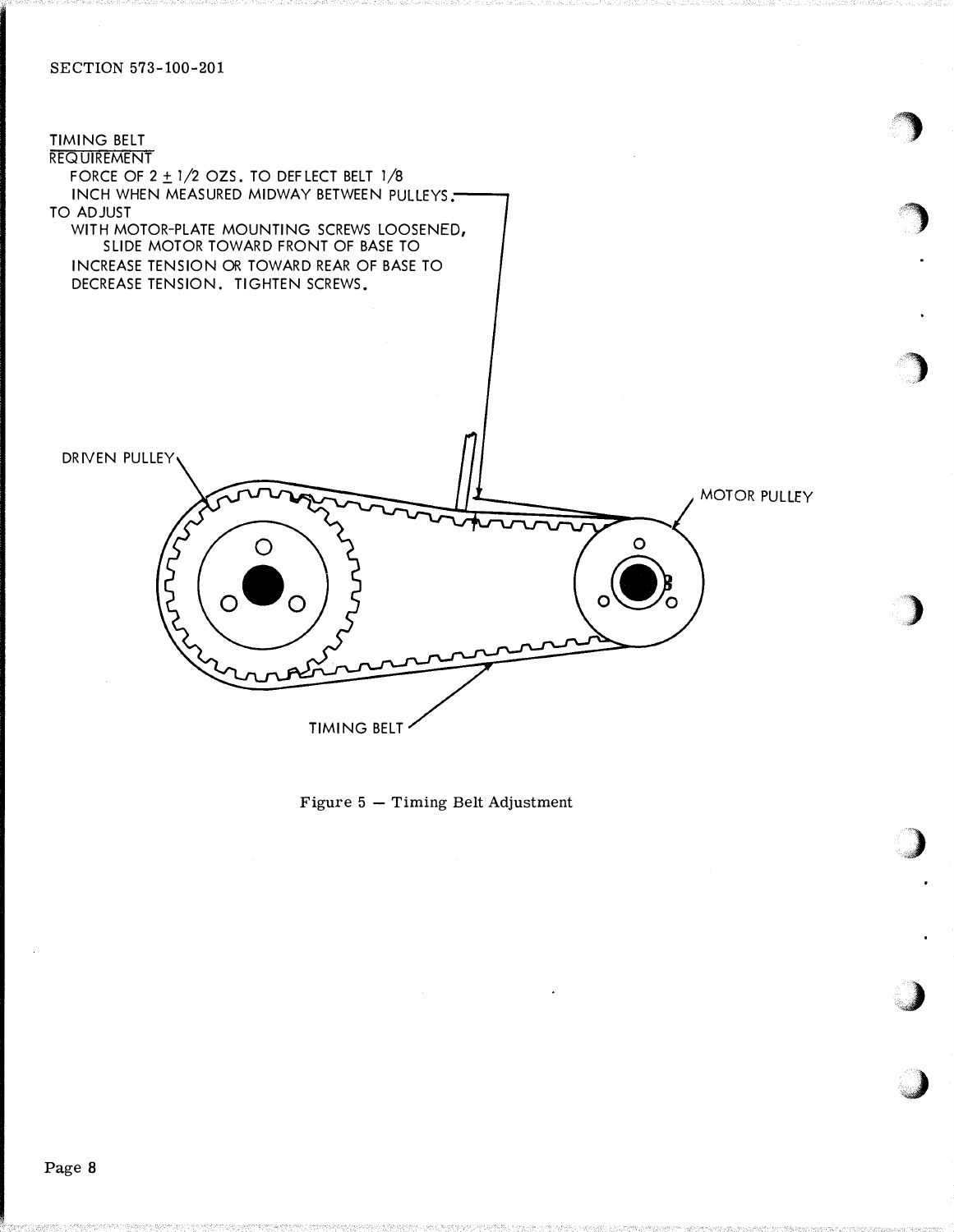

gang di series di series di second di series di series di series di series di series di series di series di se<br>Altre di series di series di series di series di series di series di series di series di series di series di s

<u>g</u>

)

)

�)

·.�

,J

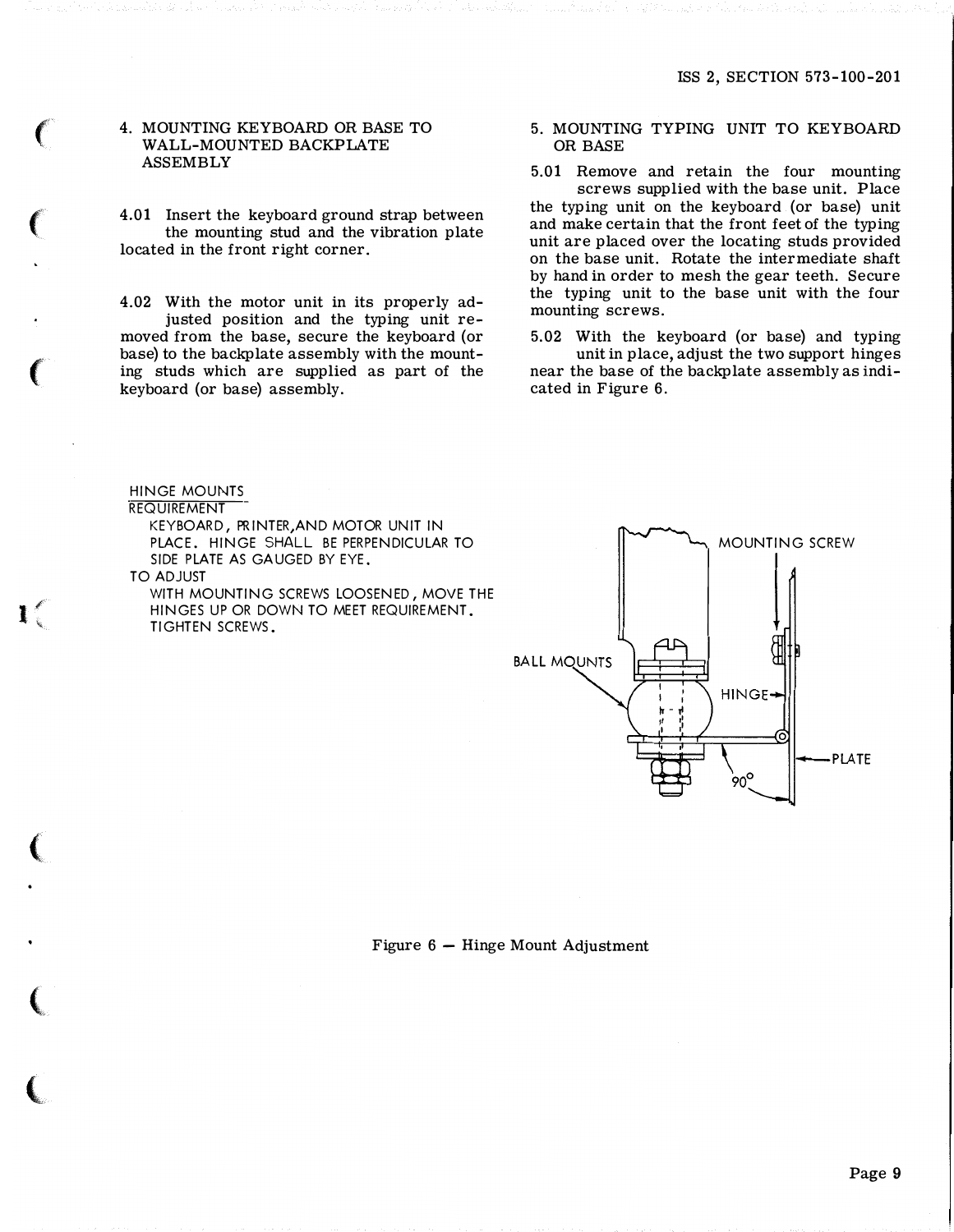### 4. MOUNTING KEYBOARD OR BASE TO WALL-MOUNTED BACKPLATE ASSEMBLY

4.01 Insert the keyboard ground strap between the mounting stud and the vibration plate located in the front right corner.

4.02 With the motor unit in its properly adjusted position and the typing unit removed from the base, secure the keyboard (or base) to the backplate assembly with the mounting studs which are supplied as part of the keyboard (or base) assembly.

# 5. MOUNTING TYPING UNIT TO KEYBOARD OR BASE

5.01 Remove and retain the four mounting screws supplied with the base unit. Place the typing unit on the keyboard (or base) unit and make certain that the front feet of the typing unit are placed over the locating studs provided on the base unit. Rotate the intermediate shaft by hand in order to mesh the gear teeth. Secure the typing unit to the base unit with the four mounting screws.

5.02 With the keyboard (or base) and typing unit in place, adjust the two support hinges near the base of the backplate assembly as indicated in Figure 6.

HINGE MOUNTS **REQUIREMENT** KEYBOARD, PRINTER, AND MOTOR UNIT IN PLACE. HINGE SHALL BE PERPENDICULAR TO SIDE PLATE AS GAUGED BY EYE. TO ADJUST

WITH MOUNTING SCREWS LOOSENED, MOVE THE HINGES UP OR DOWN TO MEET REQUIREMENT. TIGHTEN SCREWS.

l

**CONTRACTOR** 



### Figure  $6 -$  Hinge Mount Adjustment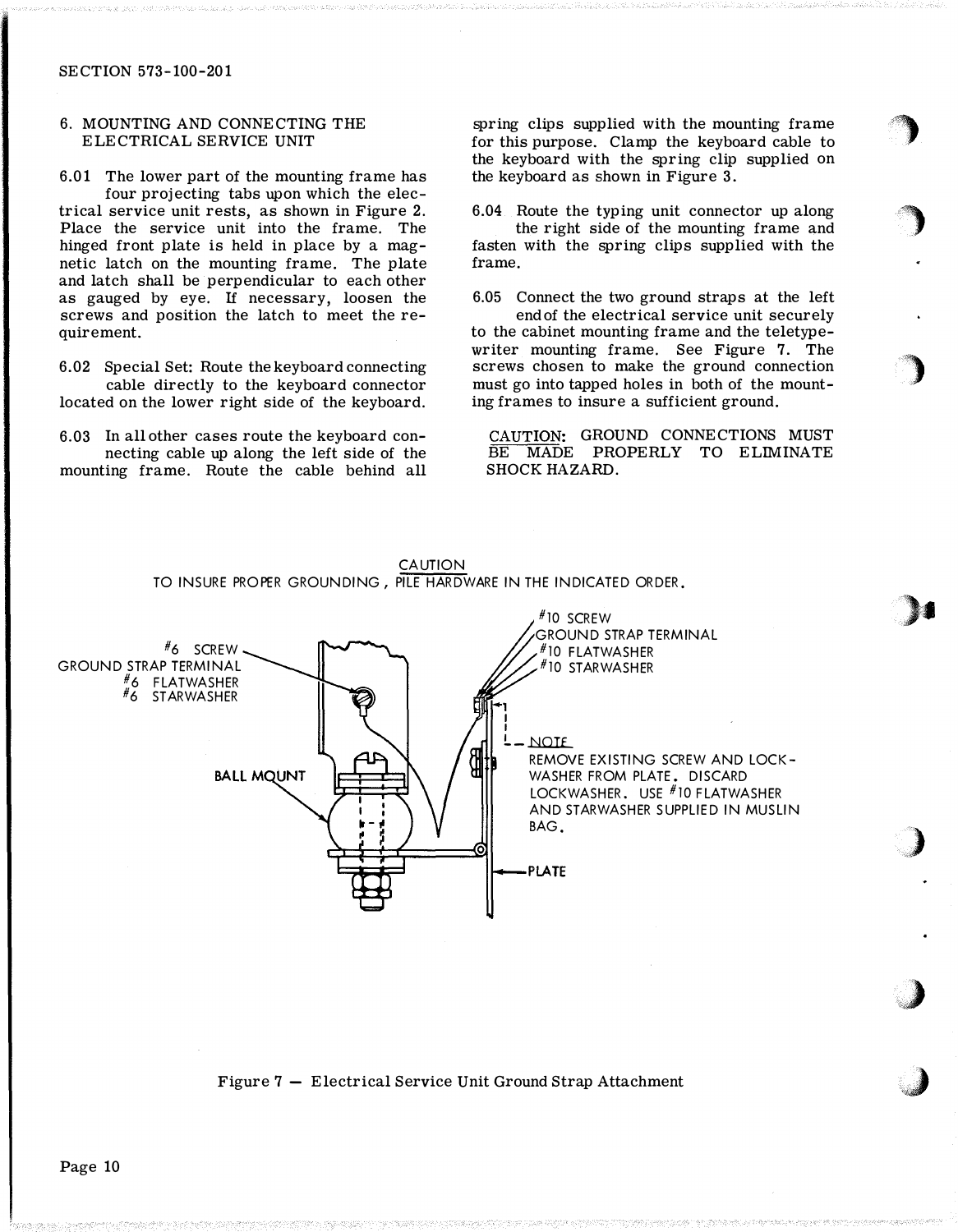# 6. MOUNTING AND CONNECTING THE ELECTRICAL SERVICE UNIT

6.01 The lower part of the mounting frame has four projecting tabs upon which the electrical service unit rests, as shown in Figure 2. Place the service unit into the frame. The hinged front plate is held in place by a magnetic latch on the mounting frame. The plate and latch shall be perpendicular to each other as gauged by eye. If necessary, loosen the screws and position the latch to meet the requirement.

6.02 Special Set: Route the keyboard connecting cable directly to the keyboard connector located on the lower right side of the keyboard.

6.03 In all other cases route the keyboard connecting cable up along the left side of the mounting frame. Route the cable behind all spring clips supplied with the mounting frame for this purpose. Clamp the keyboard cable to the keyboard with the spring clip supplied on the keyboard as shown in Figure 3.

'�

)

0)

>•

Z'' ,)'

��)

,J

6.04 Route the typing unit connector up along the right side of the mounting frame and fasten with the spring clips supplied with the frame.

6.05 Connect the two ground straps at the left end of the electrical service unit securely to the cabinet mounting frame and the teletypewriter mounting frame. See Figure 7. The screws chosen to make the ground connection must go into tapped holes in both of the mounting frames to insure a sufficient ground.

CAUTION: GROUND CONNECTIONS MUST BE MADE PROPERLY TO ELIMINATE SHOCK HAZARD.



CAUTION TO INSURE PROPER GROUNDING, PILE HARDWARE IN THE INDICATED ORDER.

Figure 7 - Electrical Service Unit Ground Strap Attachment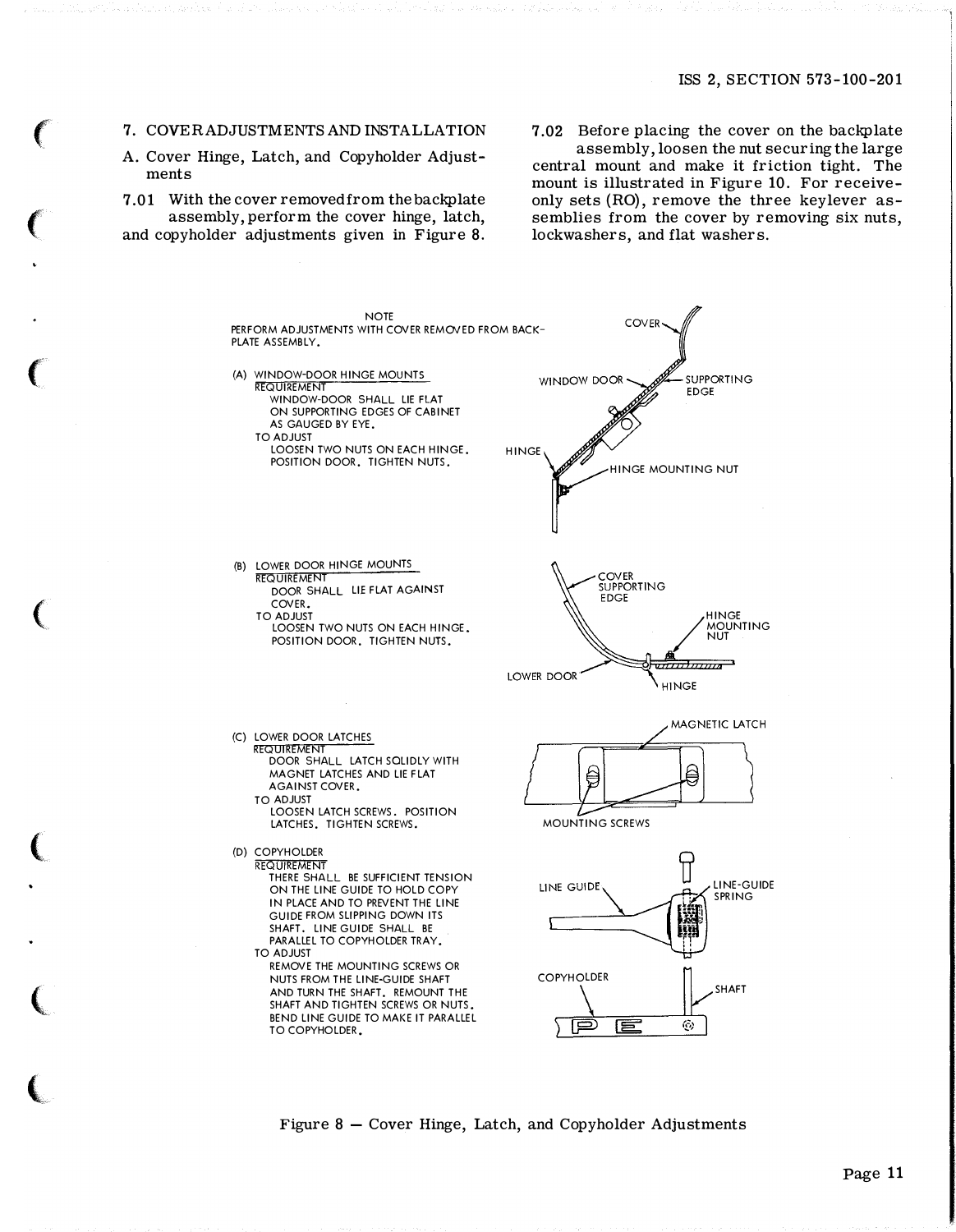### 7. COVERADJUSTMENTS AND INSTALLATION

A. Cover Hinge, Latch, and Copyholder Adjustments

 $\mathbf{C}$ 

 $\mathbf{C}$ 

 $\mathbf{C}$ 

 $\mathcal{L}$ 

 $\mathbf{C}$ 

 $\mathbf{C}$ 

 $\blacktriangle$ 

7.01 With the cover removed from the backplate assembly, perform the cover hinge, latch, and copyholder adjustments given in Figure 8.

7.02 Before placing the cover on the backplate assembly, loosen the nut securing the large central mount and make it friction tight. The mount is illustrated in Figure 10. For receiveonly sets (RO), remove the three keylever assemblies from the cover by removing six nuts, lockwashers, and flat washers.



Figure 8 - Cover Hinge, Latch, and Copyholder Adjustments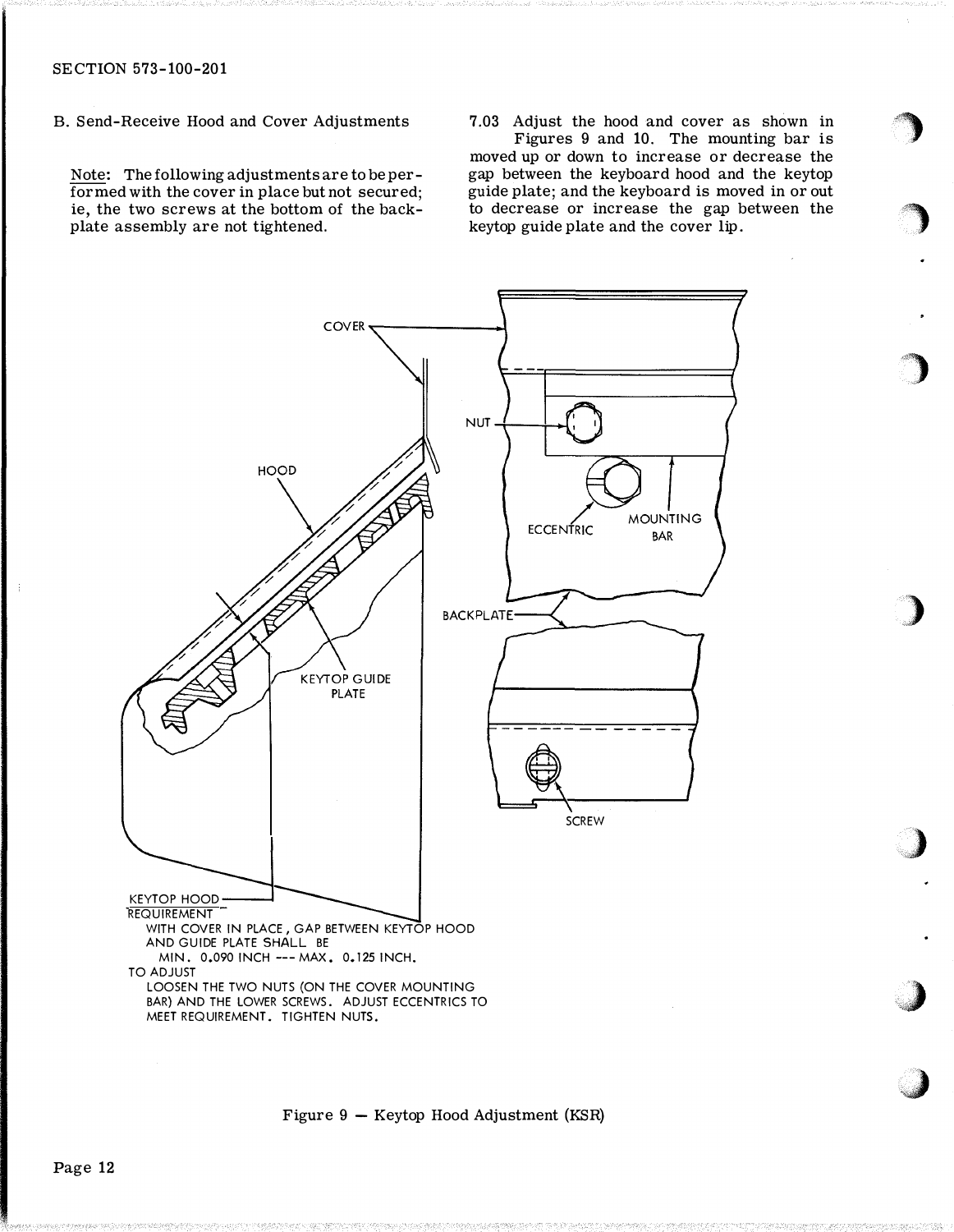B. Send-Receive Hood and Cover Adjustments

Note: The following adjustments are to be performed with the cover in place but not secured; ie, the two screws at the bottom of the backplate assembly are not tightened.

7.03 Adjust the hood and cover as shown in

'�)

)

)

)

)

)

Figures 9 and 10. The mounting bar is moved up or down to increase or decrease the gap between the keyboard hood and the keytop guide plate; and the keyboard is moved in or out to decrease or increase the gap between the keytop guide plate and the cover lip.



Figure 9 - Keytop Hood Adjustment (KSR)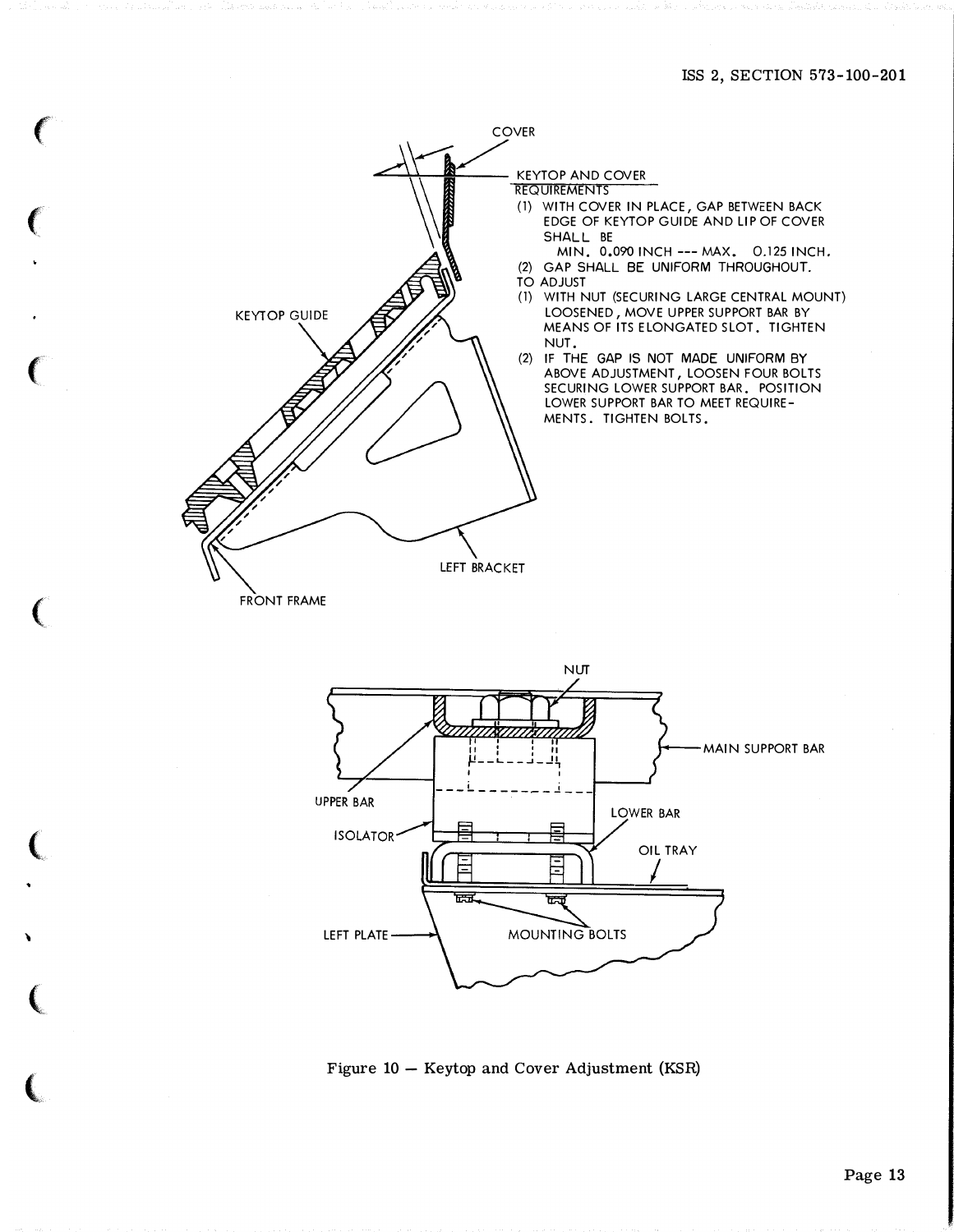

 $\epsilon$ 

 $\epsilon$ 

 $\big($ 

 $\overline{C}$ 

 $\overline{C}$ 

\

 $\overline{\mathbb{C}}$ 

 $\overline{\mathbf{C}}$ 

Figure 10 - Keytop and Cover Adjustment (KSR)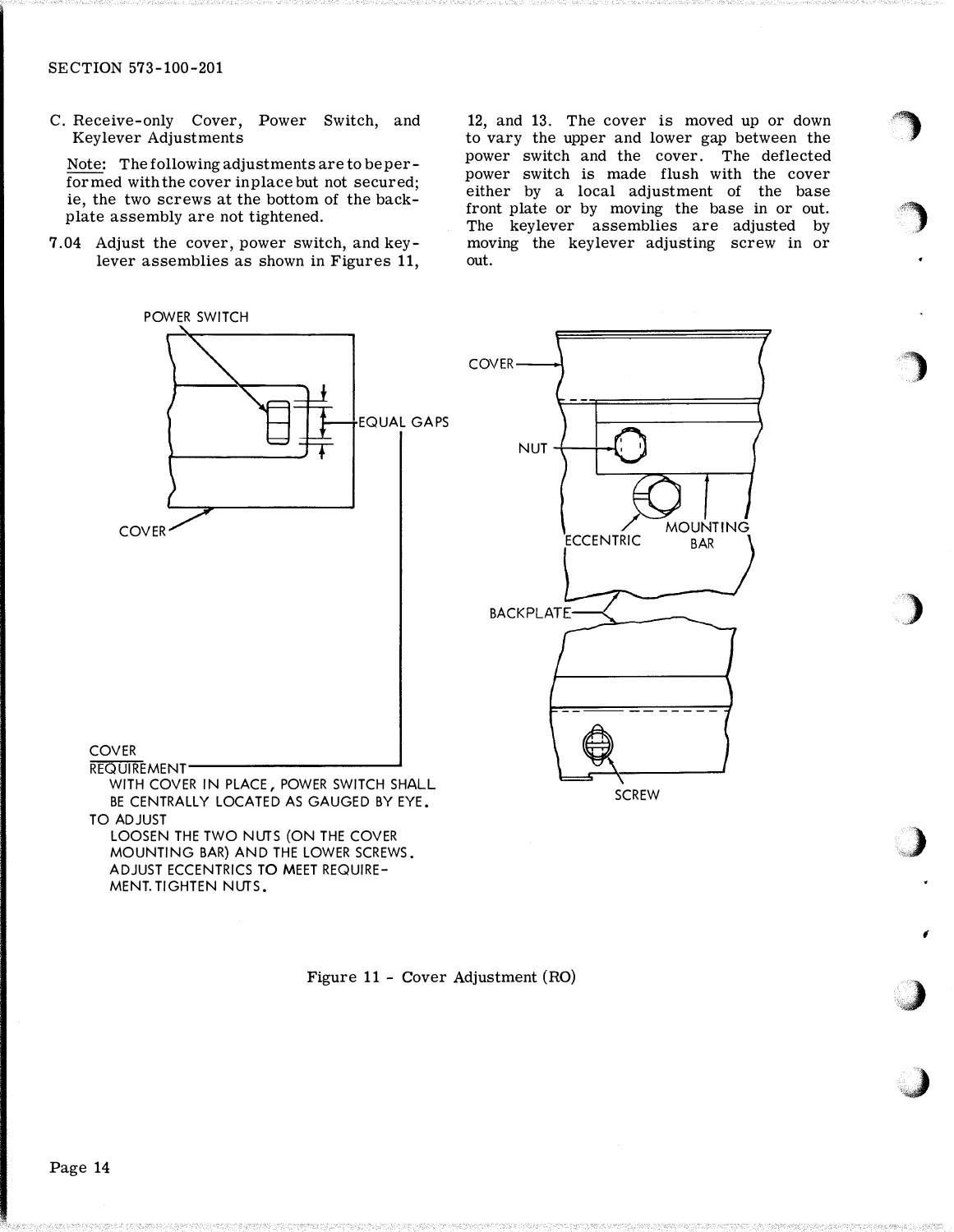C. Receive-only Cover, Power Switch, and Keylever Adjustments

Note: The following adjustments are to be performed with the cover in place but not secured; ie, the two screws at the bottom of the backplate assembly are not tightened.

7.04 Adjust the cover, power switch, and keylever assemblies as shown in Figures 11,

12, and 13. The cover is moved up or down to vary the upper and lower gap between the power switch and the cover. The deflected power switch is made flush with the cover either by a local adjustment of the base front plate or by moving the base in or out. The keylever assemblies are adjusted by moving the keylever adjusting screw in or out.

�

 $\mathcal{L}$ 

)

,)

,<)

f

,)

 $\bigcup$ 



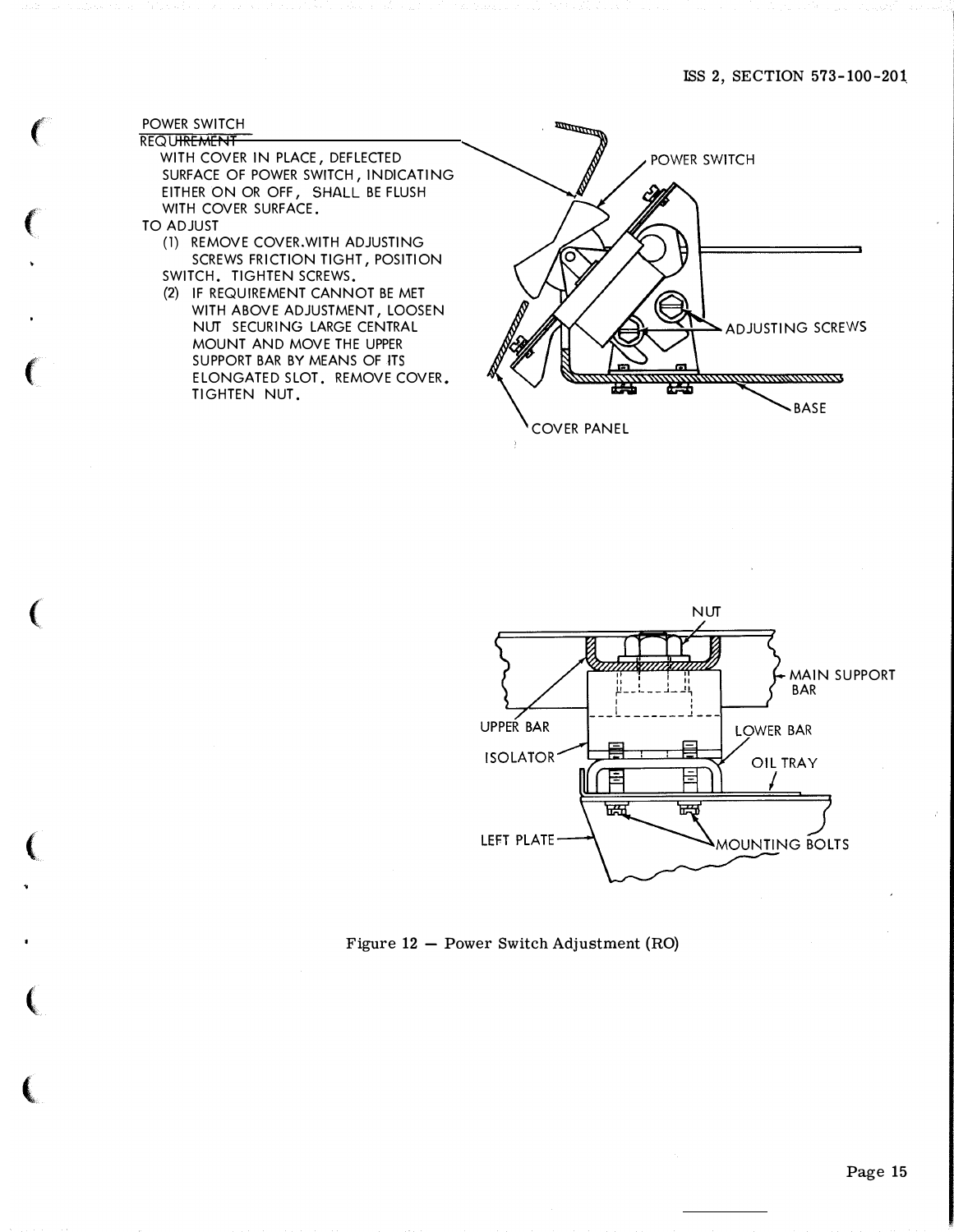#### POWER SWITCH **REQUIREMENT**

f

 $\big($ 

 $\left($ 

 $\big($ 

(

 $\big($ 

 $\left($ 

WITH COVER IN PLACE, DEFLECTED SURFACE OF POWER SWITCH, INDICATING EITHER ON OR OFF, SHALL BE FLUSH WITH COVER SURFACE.

- TO ADJUST
	- (1) REMOVE COVER.WITH ADJUSTING SCREWS FRICTION TIGHT, POSITION SWITCH. TIGHTEN SCREWS.
	- (2) IF REQUIREMENT CANNOT BE MET WITH ABOVE ADJUSTMENT, LOOSEN NUT SECURING LARGE CENTRAL MOUNT AND MOVE THE UPPER SUPPORT BAR BY MEANS OF ITS ELONGATED SLOT. REMOVE COVER. Tl GHTEN NUT.





Figure 12 - Power Switch Adjustment (RO)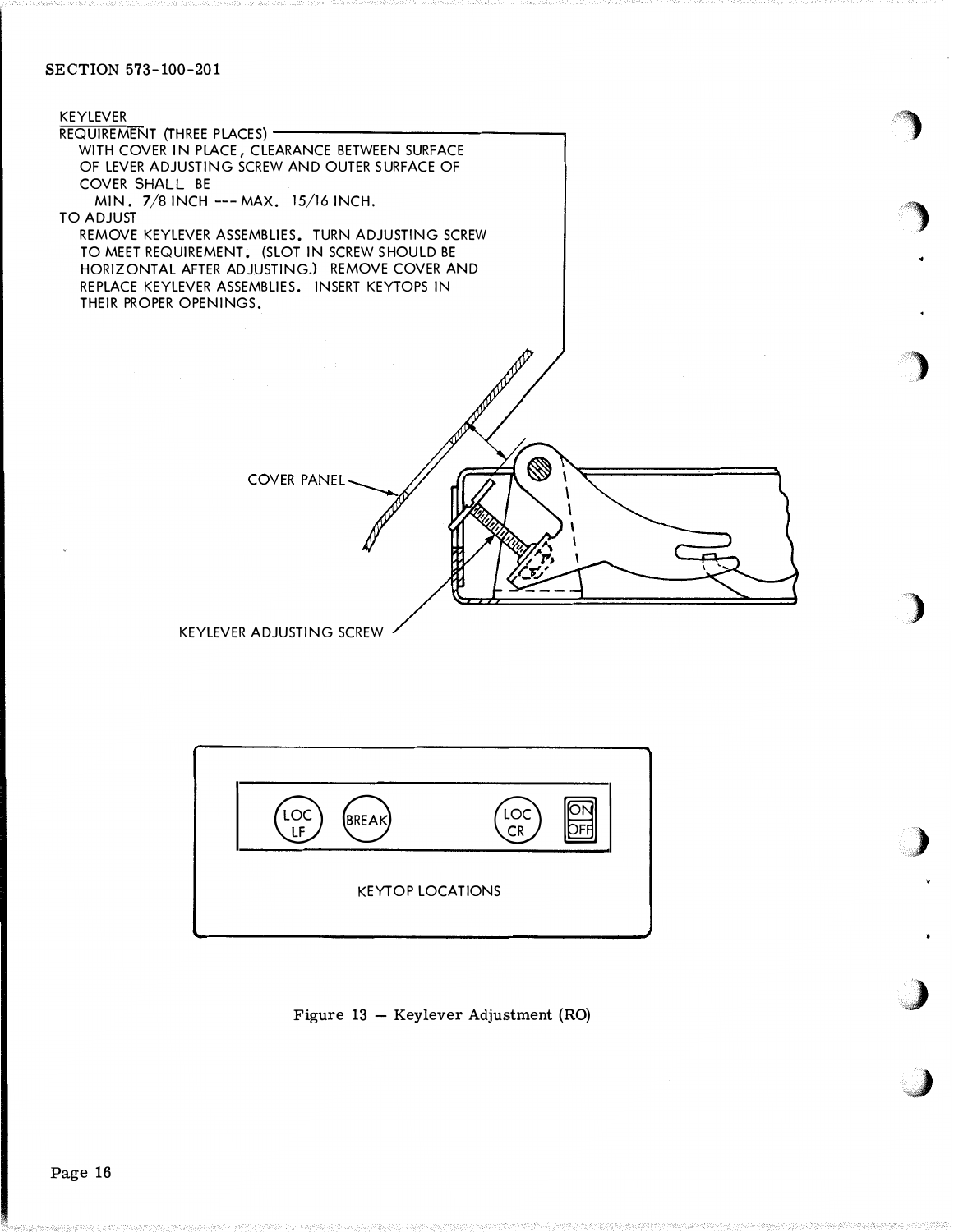



Figure 13 - Keylever Adjustment (RO)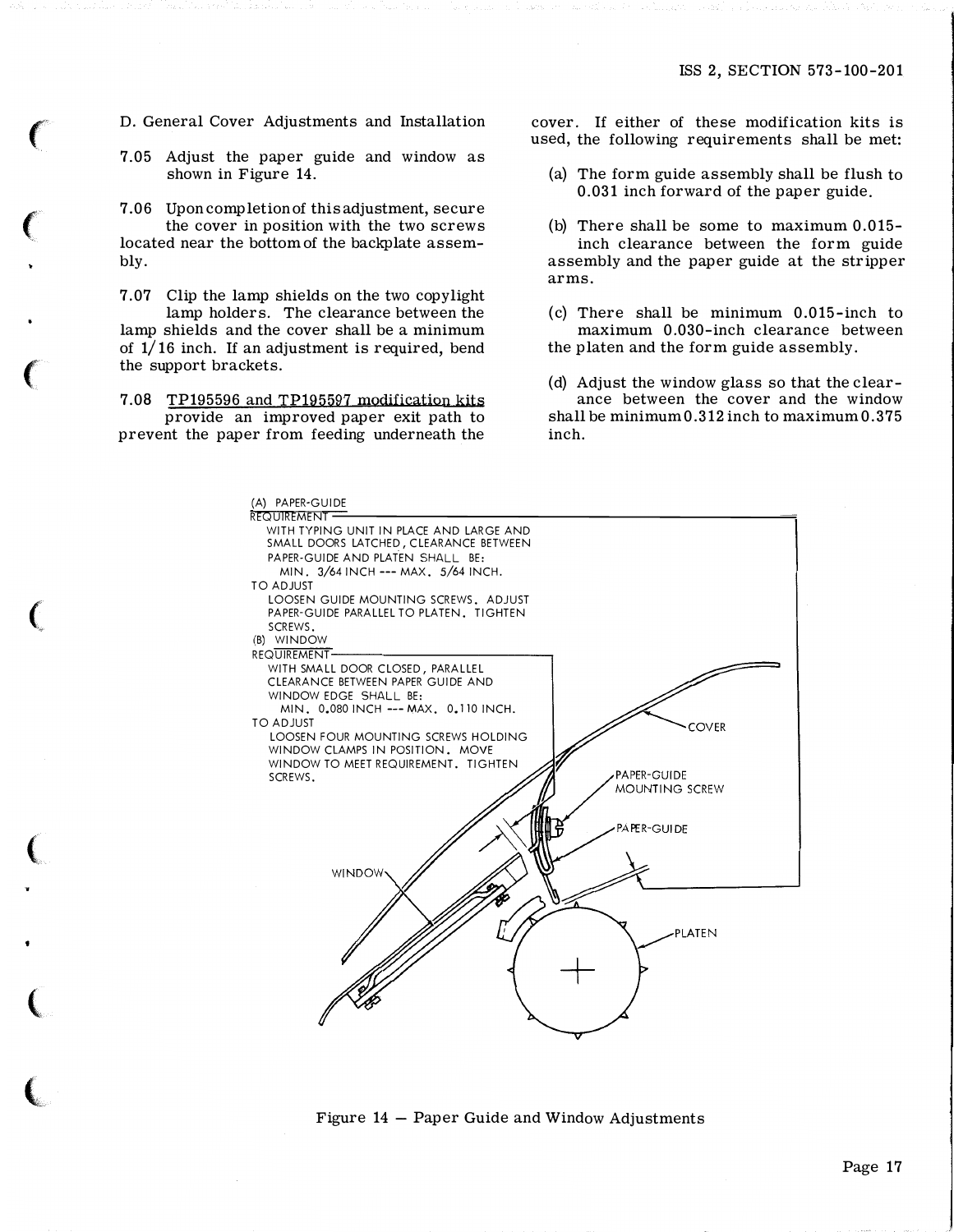7.05 Adjust the paper guide and window as shown in Figure 14.

7.06 Upon completion of this adjustment, secure the cover in position with the two screws located near the bottom of the backplate assembly.

7.07 Clip the lamp shields on the two copylight lamp holders. The clearance between the lamp shields and the cover shall be a minimum of 1/16 inch. If an adjustment is required, bend the support brackets.

7.08 TP195596 and TP195597 modification kits provide an improved paper exit path to prevent the paper from feeding underneath the

**CONTRACTOR** 

D. General Cover Adjustments and Installation cover. If either of these modification kits is used, the following requirements shall be met:

- (a) The form guide assembly shall be flush to 0.031 inch forward of the paper guide.
- (b) There shall be some to maximum 0.015 inch clearance between the form guide assembly and the paper guide at the stripper arms.
- (c) There shall be minimum 0.015-inch to maximum 0.030-inch clearance between the platen and the form guide assembly.
- (d) Adjust the window glass so that the clearance between the cover and the window shall be minimum 0.312 inch to maximum 0.375 inch.



Figure 14 - Paper Guide and Window Adjustments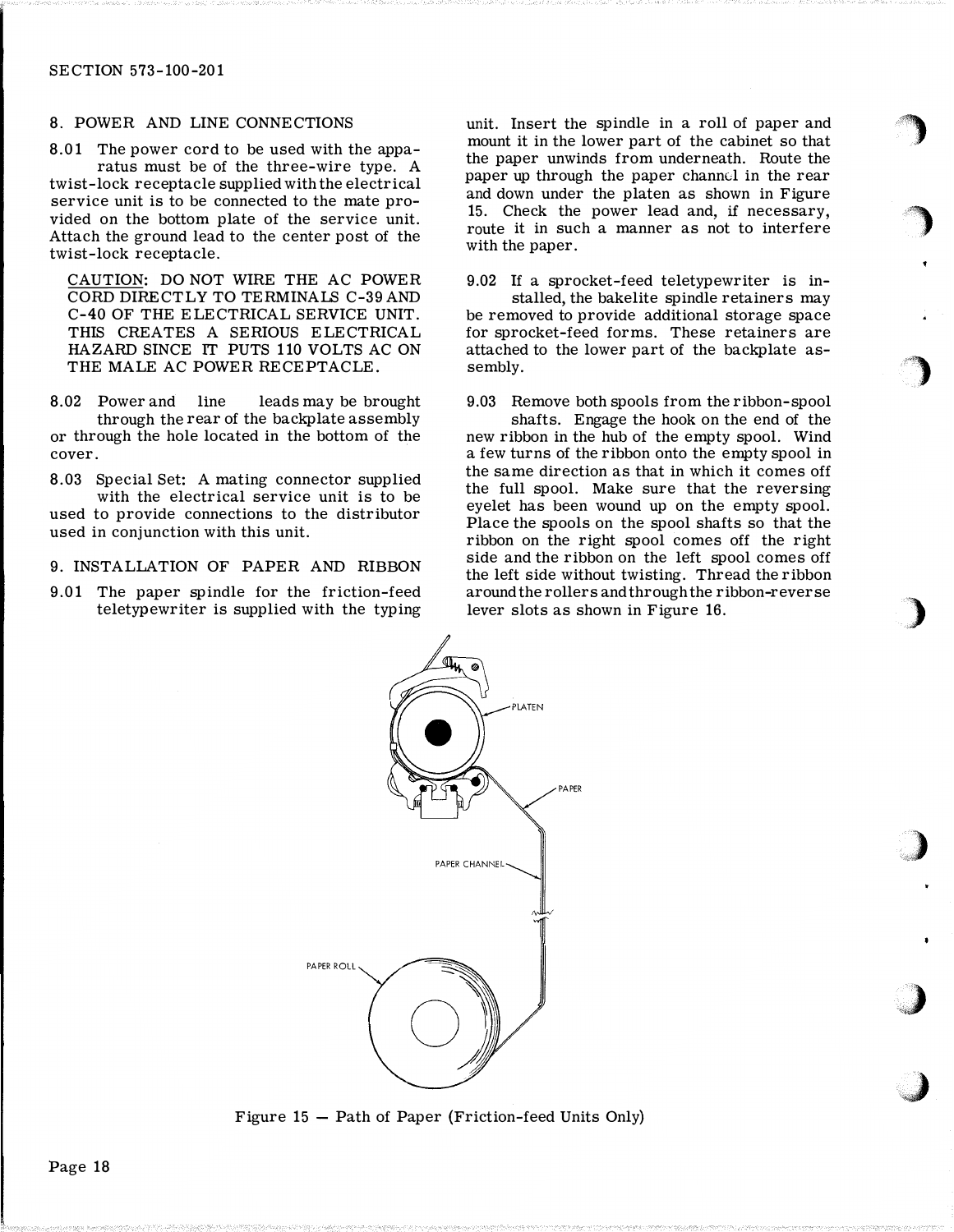#### 8. POWER AND LINE CONNECTIONS

8.01 The power cord to be used with the apparatus must be of the three-wire type. A twist-lock receptacle supplied with the electrical service unit is to be connected to the mate provided on the bottom plate of the service unit. Attach the ground lead to the center post of the twist-lock receptacle.

CAUTION: DO NOT WIRE THE AC POWER CORD DIRECTLY TO TERMINALS C-39 AND C-40 OF THE ELECTRICAL SERVICE UNIT. THIS CREATES A SERIOUS ELECTRICAL HAZARD SINCE IT PUTS 110 VOLTS AC ON THE MALE AC POWER RECEPTACLE.

8.02 Power and line leads may be brought through the rear of the backplate assembly or through the hole located in the bottom of the cover.

8.03 Special Set: A mating connector supplied with the electrical service unit is to be used to provide connections to the distributor used in conjunction with this unit.

#### 9. INSTALLATION OF PAPER AND RIBBON

9.01 The paper spindle for the friction-feed teletypewriter is supplied with the typing

unit. Insert the spindle in a roll of paper and mount it in the lower part of the cabinet so that the paper unwinds from underneath. Route the paper up through the paper channel in the rear and down under the platen as shown in Figure 15. Check the power lead and, if necessary, route it in such a manner as not to interfere with the paper.

9.02 If a sprocket-feed teletypewriter is installed, the bakelite spindle retainers may be removed to provide additional storage space for sprocket-feed forms. These retainers are attached to the lower part of the backplate assembly.

9.03 Remove both spools from the ribbon-spool shafts. Engage the hook on the end of the new ribbon in the hub of the empty spool. Wind a few turns of the ribbon onto the empty spool in the same direction as that in which it comes off the full spool. Make sure that the reversing eyelet has been wound up on the empty spool. Place the spools on the spool shafts so that the ribbon on the right spool comes off the right side and the ribbon on the left spool comes off the left side without twisting. Thread the ribbon around the rollers and through the ribbon-reverse lever slots as shown in Figure 16.



Figure  $15$  – Path of Paper (Friction-feed Units Only)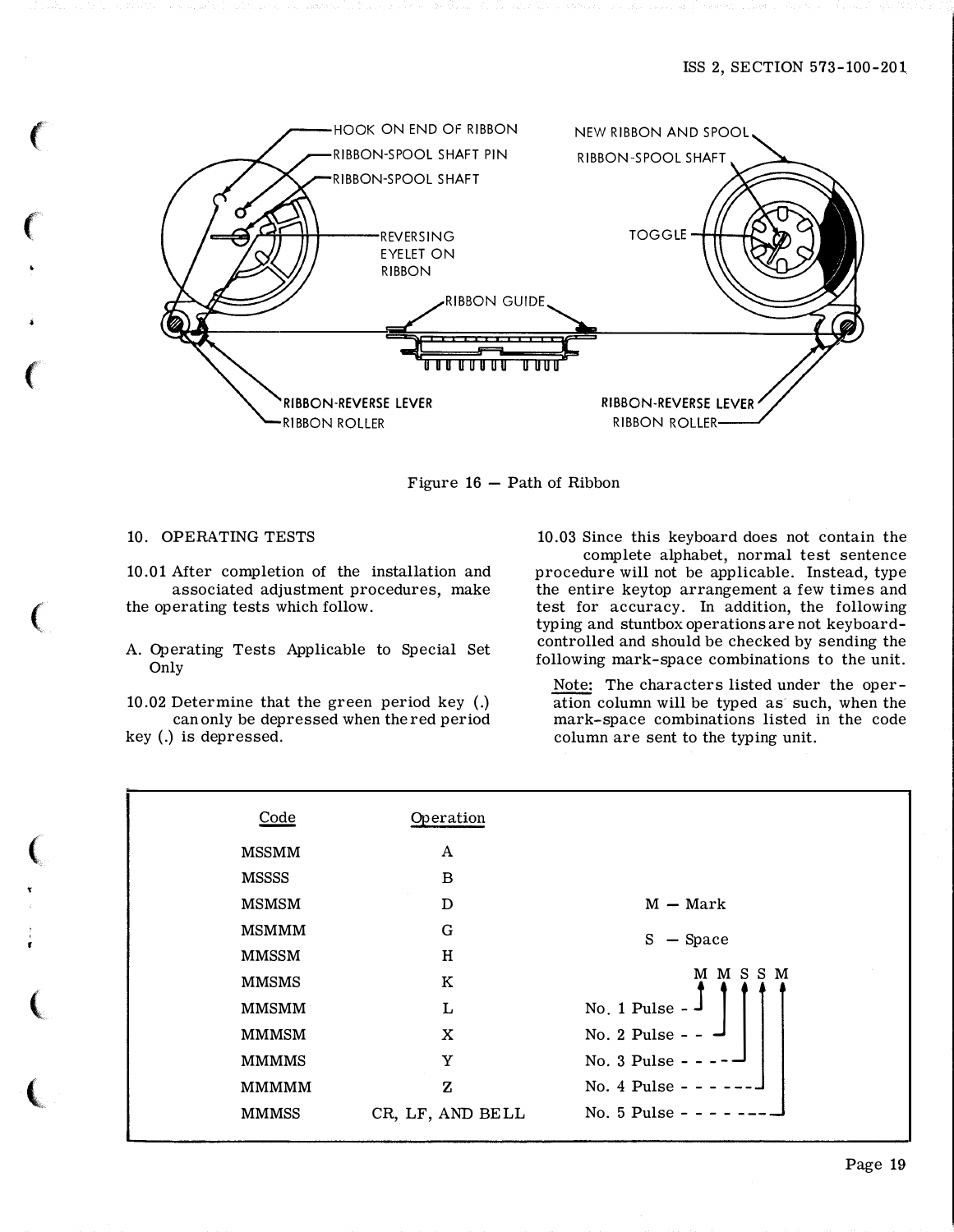

Figure  $16$  – Path of Ribbon

### 10. OPERATING TESTS

 $\big($ 

 $\epsilon$ 

(

 $\big($ 

 $\big($ 

 $\big($ 

 $\big($ 

t

10.01 After completion of the installation and associated adjustment procedures, make the operating tests which follow.

A. Operating Tests Applicable to Special Set Only

10.02 Determine that the green period key ( .) can only be depressed when the red period key (.) is depressed.

10.03 Since this keyboard does not contain the complete alphabet, normal test sentence

procedure will not be applicable. Instead, type the entire keytop arrangement a few times and test for accuracy. In addition, the following typing and stuntbox operations are not keyboardcontrolled and should be checked by sending the following mark-space combinations to the unit.

Note: The characters listed under the operation column will be typed as such, when the mark-space combinations listed in the code column are sent to the typing unit.

| Code         | Operation        |                          |
|--------------|------------------|--------------------------|
| <b>MSSMM</b> | A                |                          |
| <b>MSSSS</b> | B                |                          |
| <b>MSMSM</b> | D                | $M - Mark$               |
| <b>MSMMM</b> | G                | S<br>$-$ Space           |
| <b>MMSSM</b> | H                |                          |
| <b>MMSMS</b> | $\rm K$          | M M S S M                |
| <b>MMSMM</b> | L                | No. 1 Pulse - $\sqrt{ }$ |
| <b>MMMSM</b> | X                | No. 2 Pulse - - $-$      |
| <b>MMMMS</b> | Y                | No. 3 Pulse - -          |
| <b>MMMMM</b> | $\mathbf z$      | No. 4 Pulse - -          |
| <b>MMMSS</b> | CR, LF, AND BELL | No. 5 Pulse -            |
|              |                  |                          |